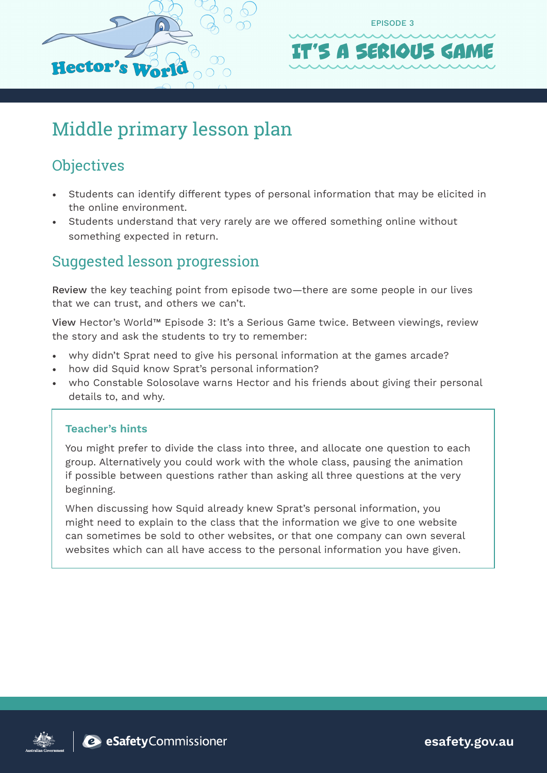



## Middle primary lesson plan

## **Objectives**

- Students can identify different types of personal information that may be elicited in the online environment.
- Students understand that very rarely are we offered something online without something expected in return.

### Suggested lesson progression

Review the key teaching point from episode two—there are some people in our lives that we can trust, and others we can't.

View Hector's World™ Episode 3: It's a Serious Game twice. Between viewings, review the story and ask the students to try to remember:

- why didn't Sprat need to give his personal information at the games arcade?
- how did Squid know Sprat's personal information?
- who Constable Solosolave warns Hector and his friends about giving their personal details to, and why.

#### **Teacher's hints**

You might prefer to divide the class into three, and allocate one question to each group. Alternatively you could work with the whole class, pausing the animation if possible between questions rather than asking all three questions at the very beginning.

When discussing how Squid already knew Sprat's personal information, you might need to explain to the class that the information we give to one website can sometimes be sold to other websites, or that one company can own several websites which can all have access to the personal information you have given.





**esafety.gov.au**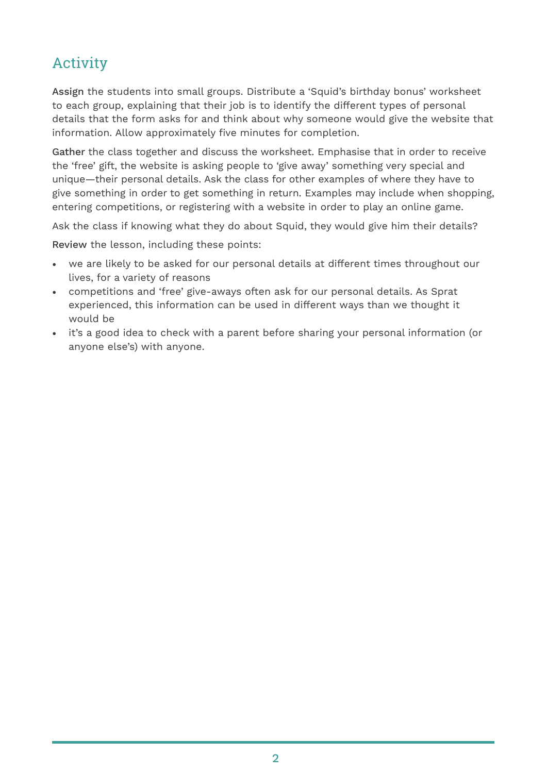## Activity

Assign the students into small groups. Distribute a 'Squid's birthday bonus' worksheet to each group, explaining that their job is to identify the different types of personal details that the form asks for and think about why someone would give the website that information. Allow approximately five minutes for completion.

Gather the class together and discuss the worksheet. Emphasise that in order to receive the 'free' gift, the website is asking people to 'give away' something very special and unique—their personal details. Ask the class for other examples of where they have to give something in order to get something in return. Examples may include when shopping, entering competitions, or registering with a website in order to play an online game.

Ask the class if knowing what they do about Squid, they would give him their details?

Review the lesson, including these points:

- we are likely to be asked for our personal details at different times throughout our lives, for a variety of reasons
- competitions and 'free' give-aways often ask for our personal details. As Sprat experienced, this information can be used in different ways than we thought it would be
- it's a good idea to check with a parent before sharing your personal information (or anyone else's) with anyone.